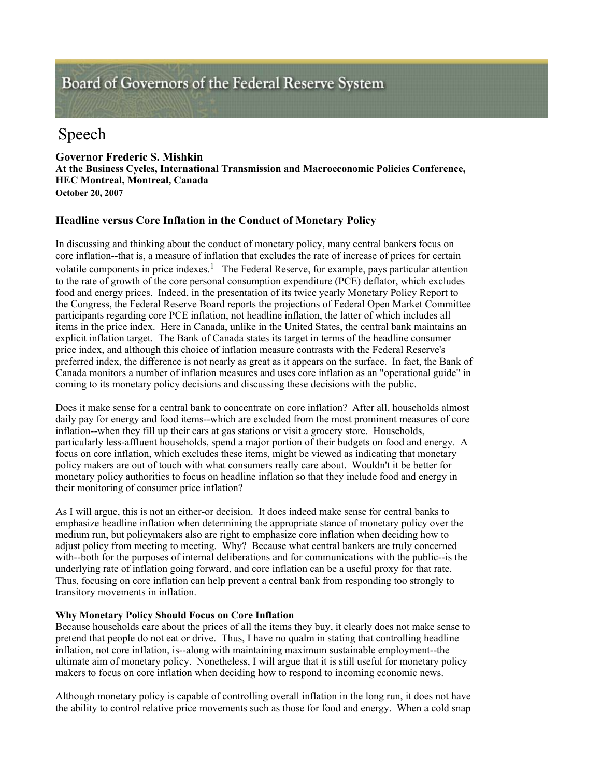# Board of Governors of the Federal Reserve System

# Speech

**Governor Frederic S. Mishkin At the Business Cycles, International Transmission and Macroeconomic Policies Conference, HEC Montreal, Montreal, Canada October 20, 2007** 

# **Headline versus Core Inflation in the Conduct of Monetary Policy**

In discussing and thinking about the conduct of monetary policy, many central bankers focus on core inflation--that is, a measure of inflation that excludes the rate of increase of prices for certain volatile components in price indexes. $\frac{1}{n}$  The Federal Reserve, for example, pays particular attention to the rate of growth of the core personal consumption expenditure (PCE) deflator, which excludes food and energy prices. Indeed, in the presentation of its twice yearly Monetary Policy Report to the Congress, the Federal Reserve Board reports the projections of Federal Open Market Committee participants regarding core PCE inflation, not headline inflation, the latter of which includes all items in the price index. Here in Canada, unlike in the United States, the central bank maintains an explicit inflation target. The Bank of Canada states its target in terms of the headline consumer price index, and although this choice of inflation measure contrasts with the Federal Reserve's preferred index, the difference is not nearly as great as it appears on the surface. In fact, the Bank of Canada monitors a number of inflation measures and uses core inflation as an "operational guide" in coming to its monetary policy decisions and discussing these decisions with the public.

Does it make sense for a central bank to concentrate on core inflation? After all, households almost daily pay for energy and food items--which are excluded from the most prominent measures of core inflation--when they fill up their cars at gas stations or visit a grocery store. Households, particularly less-affluent households, spend a major portion of their budgets on food and energy. A focus on core inflation, which excludes these items, might be viewed as indicating that monetary policy makers are out of touch with what consumers really care about. Wouldn't it be better for monetary policy authorities to focus on headline inflation so that they include food and energy in their monitoring of consumer price inflation?

As I will argue, this is not an either-or decision. It does indeed make sense for central banks to emphasize headline inflation when determining the appropriate stance of monetary policy over the medium run, but policymakers also are right to emphasize core inflation when deciding how to adjust policy from meeting to meeting. Why? Because what central bankers are truly concerned with--both for the purposes of internal deliberations and for communications with the public--is the underlying rate of inflation going forward, and core inflation can be a useful proxy for that rate. Thus, focusing on core inflation can help prevent a central bank from responding too strongly to transitory movements in inflation.

# **Why Monetary Policy Should Focus on Core Inflation**

Because households care about the prices of all the items they buy, it clearly does not make sense to pretend that people do not eat or drive. Thus, I have no qualm in stating that controlling headline inflation, not core inflation, is--along with maintaining maximum sustainable employment--the ultimate aim of monetary policy. Nonetheless, I will argue that it is still useful for monetary policy makers to focus on core inflation when deciding how to respond to incoming economic news.

Although monetary policy is capable of controlling overall inflation in the long run, it does not have the ability to control relative price movements such as those for food and energy. When a cold snap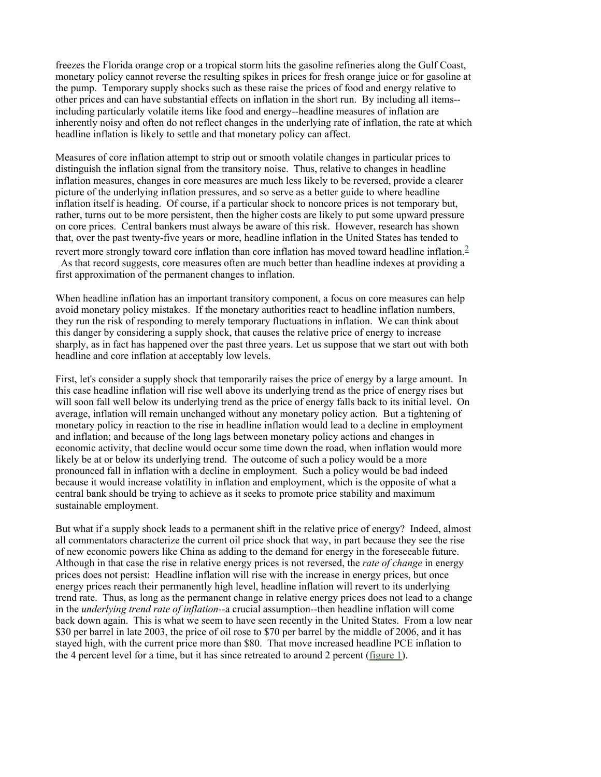freezes the Florida orange crop or a tropical storm hits the gasoline refineries along the Gulf Coast, monetary policy cannot reverse the resulting spikes in prices for fresh orange juice or for gasoline at the pump. Temporary supply shocks such as these raise the prices of food and energy relative to other prices and can have substantial effects on inflation in the short run. By including all items- including particularly volatile items like food and energy--headline measures of inflation are inherently noisy and often do not reflect changes in the underlying rate of inflation, the rate at which headline inflation is likely to settle and that monetary policy can affect.

Measures of core inflation attempt to strip out or smooth volatile changes in particular prices to distinguish the inflation signal from the transitory noise. Thus, relative to changes in headline inflation measures, changes in core measures are much less likely to be reversed, provide a clearer picture of the underlying inflation pressures, and so serve as a better guide to where headline inflation itself is heading. Of course, if a particular shock to noncore prices is not temporary but, rather, turns out to be more persistent, then the higher costs are likely to put some upward pressure on core prices. Central bankers must always be aware of this risk. However, research has shown that, over the past twenty-five years or more, headline inflation in the United States has tended to revert more strongly toward core inflation than core inflation has moved toward headline inflation.<sup>2</sup> As that record suggests, core measures often are much better than headline indexes at providing a

first approximation of the permanent changes to inflation.

When headline inflation has an important transitory component, a focus on core measures can help avoid monetary policy mistakes. If the monetary authorities react to headline inflation numbers, they run the risk of responding to merely temporary fluctuations in inflation. We can think about this danger by considering a supply shock, that causes the relative price of energy to increase sharply, as in fact has happened over the past three years. Let us suppose that we start out with both headline and core inflation at acceptably low levels.

First, let's consider a supply shock that temporarily raises the price of energy by a large amount. In this case headline inflation will rise well above its underlying trend as the price of energy rises but will soon fall well below its underlying trend as the price of energy falls back to its initial level. On average, inflation will remain unchanged without any monetary policy action. But a tightening of monetary policy in reaction to the rise in headline inflation would lead to a decline in employment and inflation; and because of the long lags between monetary policy actions and changes in economic activity, that decline would occur some time down the road, when inflation would more likely be at or below its underlying trend. The outcome of such a policy would be a more pronounced fall in inflation with a decline in employment. Such a policy would be bad indeed because it would increase volatility in inflation and employment, which is the opposite of what a central bank should be trying to achieve as it seeks to promote price stability and maximum sustainable employment.

But what if a supply shock leads to a permanent shift in the relative price of energy? Indeed, almost all commentators characterize the current oil price shock that way, in part because they see the rise of new economic powers like China as adding to the demand for energy in the foreseeable future. Although in that case the rise in relative energy prices is not reversed, the *rate of change* in energy prices does not persist: Headline inflation will rise with the increase in energy prices, but once energy prices reach their permanently high level, headline inflation will revert to its underlying trend rate. Thus, as long as the permanent change in relative energy prices does not lead to a change in the *underlying trend rate of inflation*--a crucial assumption--then headline inflation will come back down again. This is what we seem to have seen recently in the United States. From a low near \$30 per barrel in late 2003, the price of oil rose to \$70 per barrel by the middle of 2006, and it has stayed high, with the current price more than \$80. That move increased headline PCE inflation to the 4 percent level for a time, but it has since retreated to around 2 percent (figure 1).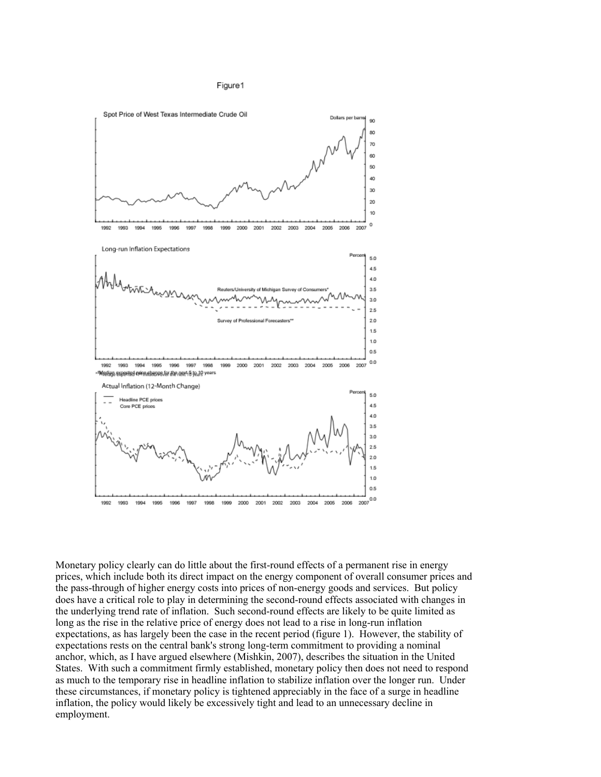



Monetary policy clearly can do little about the first-round effects of a permanent rise in energy prices, which include both its direct impact on the energy component of overall consumer prices and the pass-through of higher energy costs into prices of non-energy goods and services. But policy does have a critical role to play in determining the second-round effects associated with changes in the underlying trend rate of inflation. Such second-round effects are likely to be quite limited as long as the rise in the relative price of energy does not lead to a rise in long-run inflation expectations, as has largely been the case in the recent period (figure 1). However, the stability of expectations rests on the central bank's strong long-term commitment to providing a nominal anchor, which, as I have argued elsewhere (Mishkin, 2007), describes the situation in the United States. With such a commitment firmly established, monetary policy then does not need to respond as much to the temporary rise in headline inflation to stabilize inflation over the longer run. Under these circumstances, if monetary policy is tightened appreciably in the face of a surge in headline inflation, the policy would likely be excessively tight and lead to an unnecessary decline in employment.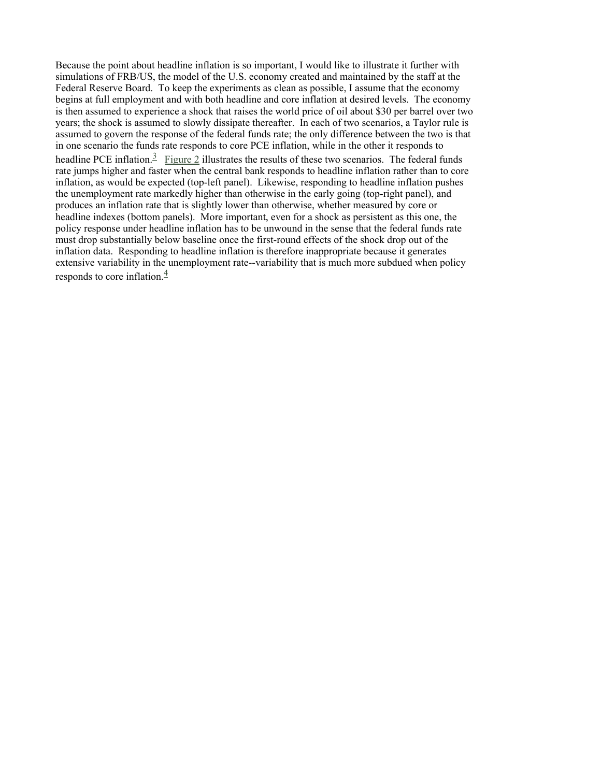Because the point about headline inflation is so important, I would like to illustrate it further with simulations of FRB/US, the model of the U.S. economy created and maintained by the staff at the Federal Reserve Board. To keep the experiments as clean as possible, I assume that the economy begins at full employment and with both headline and core inflation at desired levels. The economy is then assumed to experience a shock that raises the world price of oil about \$30 per barrel over two years; the shock is assumed to slowly dissipate thereafter. In each of two scenarios, a Taylor rule is assumed to govern the response of the federal funds rate; the only difference between the two is that in one scenario the funds rate responds to core PCE inflation, while in the other it responds to headline PCE inflation.<sup>3</sup> Figure 2 illustrates the results of these two scenarios. The federal funds rate jumps higher and faster when the central bank responds to headline inflation rather than to core inflation, as would be expected (top-left panel). Likewise, responding to headline inflation pushes the unemployment rate markedly higher than otherwise in the early going (top-right panel), and produces an inflation rate that is slightly lower than otherwise, whether measured by core or headline indexes (bottom panels). More important, even for a shock as persistent as this one, the policy response under headline inflation has to be unwound in the sense that the federal funds rate must drop substantially below baseline once the first-round effects of the shock drop out of the inflation data. Responding to headline inflation is therefore inappropriate because it generates extensive variability in the unemployment rate--variability that is much more subdued when policy responds to core inflation. $\frac{4}{3}$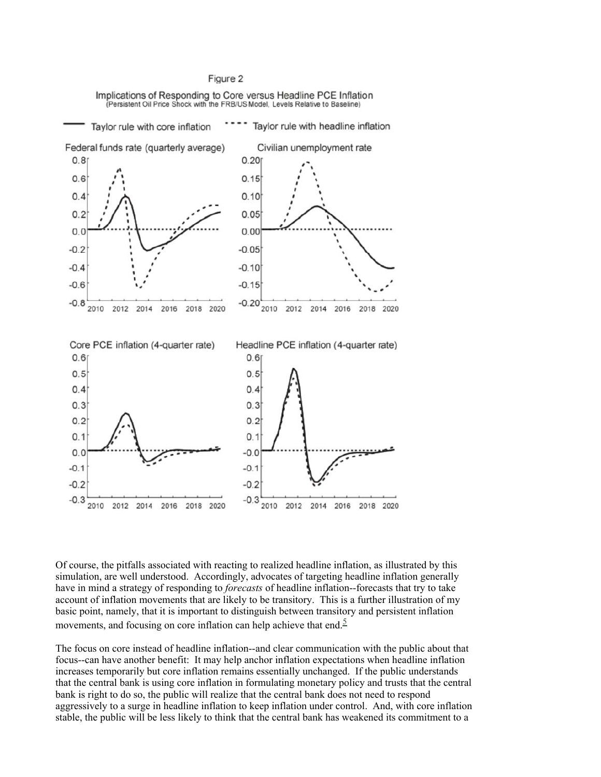#### Figure 2

Implications of Responding to Core versus Headline PCE Inflation (Persistent Oil Price Shock with the FRB/US Model, Levels Relative to Baseline)



Of course, the pitfalls associated with reacting to realized headline inflation, as illustrated by this simulation, are well understood. Accordingly, advocates of targeting headline inflation generally have in mind a strategy of responding to *forecasts* of headline inflation--forecasts that try to take account of inflation movements that are likely to be transitory. This is a further illustration of my basic point, namely, that it is important to distinguish between transitory and persistent inflation movements, and focusing on core inflation can help achieve that end. $\frac{5}{5}$ 

The focus on core instead of headline inflation--and clear communication with the public about that focus--can have another benefit: It may help anchor inflation expectations when headline inflation increases temporarily but core inflation remains essentially unchanged. If the public understands that the central bank is using core inflation in formulating monetary policy and trusts that the central bank is right to do so, the public will realize that the central bank does not need to respond aggressively to a surge in headline inflation to keep inflation under control. And, with core inflation stable, the public will be less likely to think that the central bank has weakened its commitment to a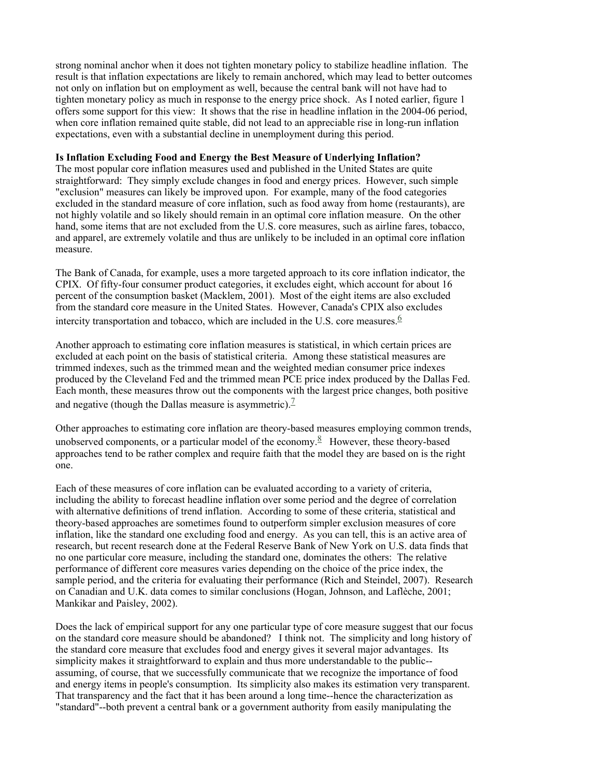strong nominal anchor when it does not tighten monetary policy to stabilize headline inflation. The result is that inflation expectations are likely to remain anchored, which may lead to better outcomes not only on inflation but on employment as well, because the central bank will not have had to tighten monetary policy as much in response to the energy price shock. As I noted earlier, figure 1 offers some support for this view: It shows that the rise in headline inflation in the 2004-06 period, when core inflation remained quite stable, did not lead to an appreciable rise in long-run inflation expectations, even with a substantial decline in unemployment during this period.

# **Is Inflation Excluding Food and Energy the Best Measure of Underlying Inflation?**

The most popular core inflation measures used and published in the United States are quite straightforward: They simply exclude changes in food and energy prices. However, such simple "exclusion" measures can likely be improved upon. For example, many of the food categories excluded in the standard measure of core inflation, such as food away from home (restaurants), are not highly volatile and so likely should remain in an optimal core inflation measure. On the other hand, some items that are not excluded from the U.S. core measures, such as airline fares, tobacco, and apparel, are extremely volatile and thus are unlikely to be included in an optimal core inflation measure.

The Bank of Canada, for example, uses a more targeted approach to its core inflation indicator, the CPIX. Of fifty-four consumer product categories, it excludes eight, which account for about 16 percent of the consumption basket (Macklem, 2001). Most of the eight items are also excluded from the standard core measure in the United States. However, Canada's CPIX also excludes intercity transportation and tobacco, which are included in the U.S. core measures.  $\frac{6}{3}$ 

Another approach to estimating core inflation measures is statistical, in which certain prices are excluded at each point on the basis of statistical criteria. Among these statistical measures are trimmed indexes, such as the trimmed mean and the weighted median consumer price indexes produced by the Cleveland Fed and the trimmed mean PCE price index produced by the Dallas Fed. Each month, these measures throw out the components with the largest price changes, both positive and negative (though the Dallas measure is asymmetric).<sup>7</sup>

Other approaches to estimating core inflation are theory-based measures employing common trends, unobserved components, or a particular model of the economy.<sup>8</sup> However, these theory-based approaches tend to be rather complex and require faith that the model they are based on is the right one.

Each of these measures of core inflation can be evaluated according to a variety of criteria, including the ability to forecast headline inflation over some period and the degree of correlation with alternative definitions of trend inflation. According to some of these criteria, statistical and theory-based approaches are sometimes found to outperform simpler exclusion measures of core inflation, like the standard one excluding food and energy. As you can tell, this is an active area of research, but recent research done at the Federal Reserve Bank of New York on U.S. data finds that no one particular core measure, including the standard one, dominates the others: The relative performance of different core measures varies depending on the choice of the price index, the sample period, and the criteria for evaluating their performance (Rich and Steindel, 2007). Research on Canadian and U.K. data comes to similar conclusions (Hogan, Johnson, and Laflèche, 2001; Mankikar and Paisley, 2002).

Does the lack of empirical support for any one particular type of core measure suggest that our focus on the standard core measure should be abandoned? I think not. The simplicity and long history of the standard core measure that excludes food and energy gives it several major advantages. Its simplicity makes it straightforward to explain and thus more understandable to the public- assuming, of course, that we successfully communicate that we recognize the importance of food and energy items in people's consumption. Its simplicity also makes its estimation very transparent. That transparency and the fact that it has been around a long time--hence the characterization as "standard"--both prevent a central bank or a government authority from easily manipulating the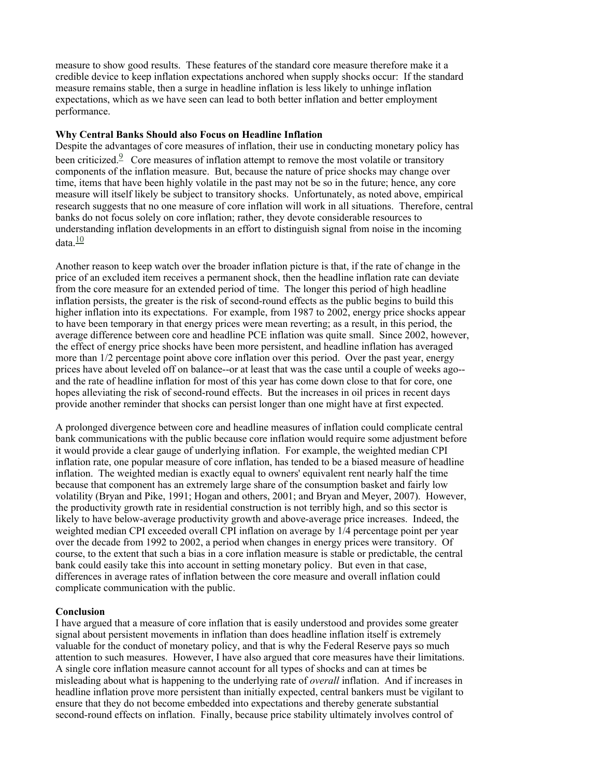measure to show good results. These features of the standard core measure therefore make it a credible device to keep inflation expectations anchored when supply shocks occur: If the standard measure remains stable, then a surge in headline inflation is less likely to unhinge inflation expectations, which as we have seen can lead to both better inflation and better employment performance.

## **Why Central Banks Should also Focus on Headline Inflation**

Despite the advantages of core measures of inflation, their use in conducting monetary policy has been criticized.<sup>9</sup> Core measures of inflation attempt to remove the most volatile or transitory components of the inflation measure. But, because the nature of price shocks may change over time, items that have been highly volatile in the past may not be so in the future; hence, any core measure will itself likely be subject to transitory shocks. Unfortunately, as noted above, empirical research suggests that no one measure of core inflation will work in all situations. Therefore, central banks do not focus solely on core inflation; rather, they devote considerable resources to understanding inflation developments in an effort to distinguish signal from noise in the incoming data. $\frac{10}{10}$ 

Another reason to keep watch over the broader inflation picture is that, if the rate of change in the price of an excluded item receives a permanent shock, then the headline inflation rate can deviate from the core measure for an extended period of time. The longer this period of high headline inflation persists, the greater is the risk of second-round effects as the public begins to build this higher inflation into its expectations. For example, from 1987 to 2002, energy price shocks appear to have been temporary in that energy prices were mean reverting; as a result, in this period, the average difference between core and headline PCE inflation was quite small. Since 2002, however, the effect of energy price shocks have been more persistent, and headline inflation has averaged more than  $1/2$  percentage point above core inflation over this period. Over the past year, energy prices have about leveled off on balance--or at least that was the case until a couple of weeks ago- and the rate of headline inflation for most of this year has come down close to that for core, one hopes alleviating the risk of second-round effects. But the increases in oil prices in recent days provide another reminder that shocks can persist longer than one might have at first expected.

A prolonged divergence between core and headline measures of inflation could complicate central bank communications with the public because core inflation would require some adjustment before it would provide a clear gauge of underlying inflation. For example, the weighted median CPI inflation rate, one popular measure of core inflation, has tended to be a biased measure of headline inflation. The weighted median is exactly equal to owners' equivalent rent nearly half the time because that component has an extremely large share of the consumption basket and fairly low volatility (Bryan and Pike, 1991; Hogan and others, 2001; and Bryan and Meyer, 2007). However, the productivity growth rate in residential construction is not terribly high, and so this sector is likely to have below-average productivity growth and above-average price increases. Indeed, the weighted median CPI exceeded overall CPI inflation on average by 1/4 percentage point per year over the decade from 1992 to 2002, a period when changes in energy prices were transitory. Of course, to the extent that such a bias in a core inflation measure is stable or predictable, the central bank could easily take this into account in setting monetary policy. But even in that case, differences in average rates of inflation between the core measure and overall inflation could complicate communication with the public.

#### **Conclusion**

I have argued that a measure of core inflation that is easily understood and provides some greater signal about persistent movements in inflation than does headline inflation itself is extremely valuable for the conduct of monetary policy, and that is why the Federal Reserve pays so much attention to such measures. However, I have also argued that core measures have their limitations. A single core inflation measure cannot account for all types of shocks and can at times be misleading about what is happening to the underlying rate of *overall* inflation. And if increases in headline inflation prove more persistent than initially expected, central bankers must be vigilant to ensure that they do not become embedded into expectations and thereby generate substantial second-round effects on inflation. Finally, because price stability ultimately involves control of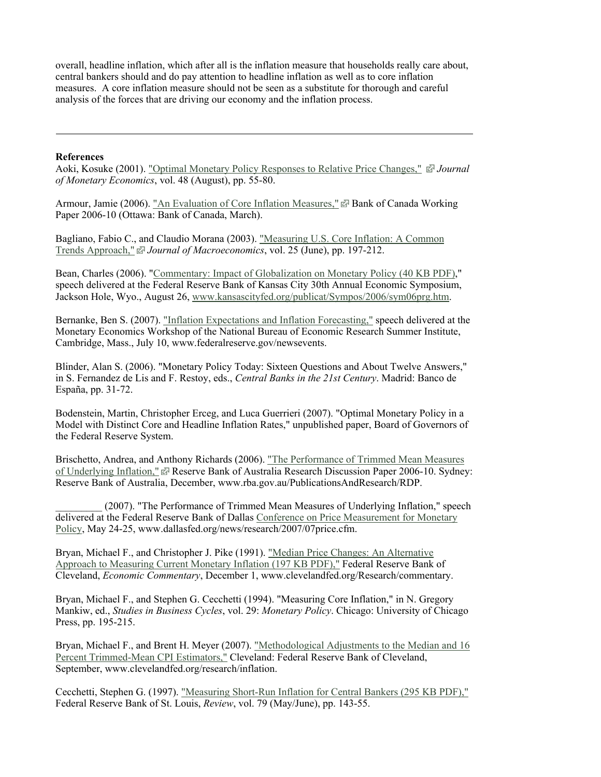overall, headline inflation, which after all is the inflation measure that households really care about, central bankers should and do pay attention to headline inflation as well as to core inflation measures. A core inflation measure should not be seen as a substitute for thorough and careful analysis of the forces that are driving our economy and the inflation process.

#### **References**

Aoki, Kosuke (2001). "Optimal Monetary Policy Responses to Relative Price Changes," *Journal of Monetary Economics*, vol. 48 (August), pp. 55-80.

Armour, Jamie (2006). "An Evaluation of Core Inflation Measures," P Bank of Canada Working Paper 2006-10 (Ottawa: Bank of Canada, March).

Bagliano, Fabio C., and Claudio Morana (2003). "Measuring U.S. Core Inflation: A Common Trends Approach," *Journal of Macroeconomics*, vol. 25 (June), pp. 197-212.

Bean, Charles (2006). "Commentary: Impact of Globalization on Monetary Policy (40 KB PDF)," speech delivered at the Federal Reserve Bank of Kansas City 30th Annual Economic Symposium, Jackson Hole, Wyo., August 26, www.kansascityfed.org/publicat/Sympos/2006/sym06prg.htm.

Bernanke, Ben S. (2007). "Inflation Expectations and Inflation Forecasting," speech delivered at the Monetary Economics Workshop of the National Bureau of Economic Research Summer Institute, Cambridge, Mass., July 10, www.federalreserve.gov/newsevents.

Blinder, Alan S. (2006). "Monetary Policy Today: Sixteen Questions and About Twelve Answers," in S. Fernandez de Lis and F. Restoy, eds., *Central Banks in the 21st Century*. Madrid: Banco de España, pp. 31-72.

Bodenstein, Martin, Christopher Erceg, and Luca Guerrieri (2007). "Optimal Monetary Policy in a Model with Distinct Core and Headline Inflation Rates," unpublished paper, Board of Governors of the Federal Reserve System.

Brischetto, Andrea, and Anthony Richards (2006). "The Performance of Trimmed Mean Measures of Underlying Inflation," P Reserve Bank of Australia Research Discussion Paper 2006-10. Sydney: Reserve Bank of Australia, December, www.rba.gov.au/PublicationsAndResearch/RDP.

(2007). "The Performance of Trimmed Mean Measures of Underlying Inflation," speech delivered at the Federal Reserve Bank of Dallas Conference on Price Measurement for Monetary Policy, May 24-25, www.dallasfed.org/news/research/2007/07price.cfm.

Bryan, Michael F., and Christopher J. Pike (1991). "Median Price Changes: An Alternative Approach to Measuring Current Monetary Inflation (197 KB PDF)," Federal Reserve Bank of Cleveland, *Economic Commentary*, December 1, www.clevelandfed.org/Research/commentary.

Bryan, Michael F., and Stephen G. Cecchetti (1994). "Measuring Core Inflation," in N. Gregory Mankiw, ed., *Studies in Business Cycles*, vol. 29: *Monetary Policy*. Chicago: University of Chicago Press, pp. 195-215.

Bryan, Michael F., and Brent H. Meyer (2007). "Methodological Adjustments to the Median and 16 Percent Trimmed-Mean CPI Estimators," Cleveland: Federal Reserve Bank of Cleveland, September, www.clevelandfed.org/research/inflation.

Cecchetti, Stephen G. (1997). "Measuring Short-Run Inflation for Central Bankers (295 KB PDF)," Federal Reserve Bank of St. Louis, *Review*, vol. 79 (May/June), pp. 143-55.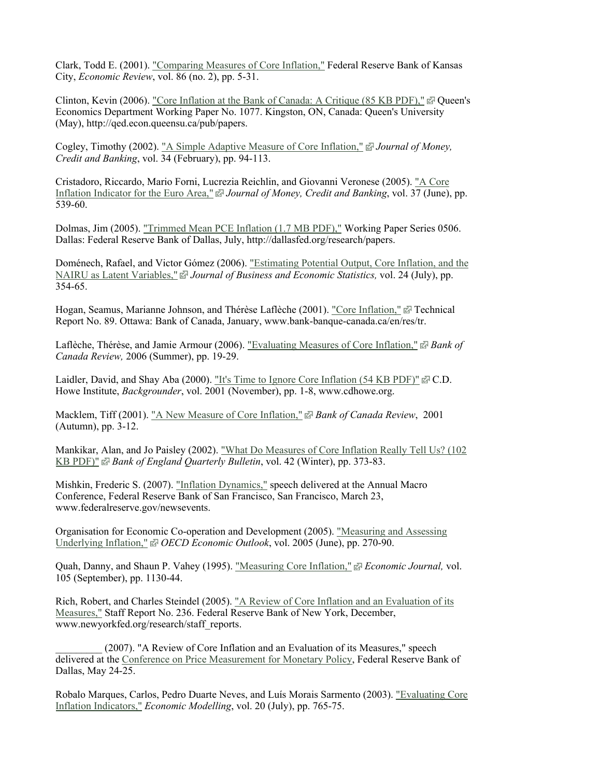Clark, Todd E. (2001). "Comparing Measures of Core Inflation," Federal Reserve Bank of Kansas City, *Economic Review*, vol. 86 (no. 2), pp. 5-31.

Clinton, Kevin (2006). "Core Inflation at the Bank of Canada: A Critique (85 KB PDF),"  $\vec{\omega}$  Queen's Economics Department Working Paper No. 1077. Kingston, ON, Canada: Queen's University (May), http://qed.econ.queensu.ca/pub/papers.

Cogley, Timothy (2002). "A Simple Adaptive Measure of Core Inflation," *Journal of Money, Credit and Banking*, vol. 34 (February), pp. 94-113.

Cristadoro, Riccardo, Mario Forni, Lucrezia Reichlin, and Giovanni Veronese (2005). "A Core Inflation Indicator for the Euro Area," *Journal of Money, Credit and Banking*, vol. 37 (June), pp. 539-60.

Dolmas, Jim (2005). "Trimmed Mean PCE Inflation (1.7 MB PDF)," Working Paper Series 0506. Dallas: Federal Reserve Bank of Dallas, July, http://dallasfed.org/research/papers.

Doménech, Rafael, and Victor Gómez (2006). "Estimating Potential Output, Core Inflation, and the NAIRU as Latent Variables," *Journal of Business and Economic Statistics,* vol. 24 (July), pp. 354-65.

Hogan, Seamus, Marianne Johnson, and Thérèse Laflèche (2001). "Core Inflation," P Technical Report No. 89. Ottawa: Bank of Canada, January, www.bank-banque-canada.ca/en/res/tr.

Laflèche, Thérèse, and Jamie Armour (2006). "Evaluating Measures of Core Inflation,"  $\mathbb{Z}$  Bank of *Canada Review,* 2006 (Summer), pp. 19-29.

Laidler, David, and Shay Aba (2000). "It's Time to Ignore Core Inflation (54 KB PDF)"  $\vec{E}$  C.D. Howe Institute, *Backgrounder*, vol. 2001 (November), pp. 1-8, www.cdhowe.org.

Macklem, Tiff (2001). "A New Measure of Core Inflation," *Bank of Canada Review*, 2001 (Autumn), pp. 3-12.

Mankikar, Alan, and Jo Paisley (2002). "What Do Measures of Core Inflation Really Tell Us? (102 KB PDF)" *Bank of England Quarterly Bulletin*, vol. 42 (Winter), pp. 373-83.

Mishkin, Frederic S. (2007). "Inflation Dynamics," speech delivered at the Annual Macro Conference, Federal Reserve Bank of San Francisco, San Francisco, March 23, www.federalreserve.gov/newsevents.

Organisation for Economic Co-operation and Development (2005). "Measuring and Assessing Underlying Inflation," *<sup>o</sup> OECD Economic Outlook*, vol. 2005 (June), pp. 270-90.

Quah, Danny, and Shaun P. Vahey (1995). "Measuring Core Inflation," *Economic Journal,* vol. 105 (September), pp. 1130-44.

Rich, Robert, and Charles Steindel (2005). "A Review of Core Inflation and an Evaluation of its Measures," Staff Report No. 236. Federal Reserve Bank of New York, December, www.newyorkfed.org/research/staff\_reports.

(2007). "A Review of Core Inflation and an Evaluation of its Measures," speech delivered at the Conference on Price Measurement for Monetary Policy, Federal Reserve Bank of Dallas, May 24-25.

Robalo Marques, Carlos, Pedro Duarte Neves, and Luís Morais Sarmento (2003). "Evaluating Core Inflation Indicators," *Economic Modelling*, vol. 20 (July), pp. 765-75.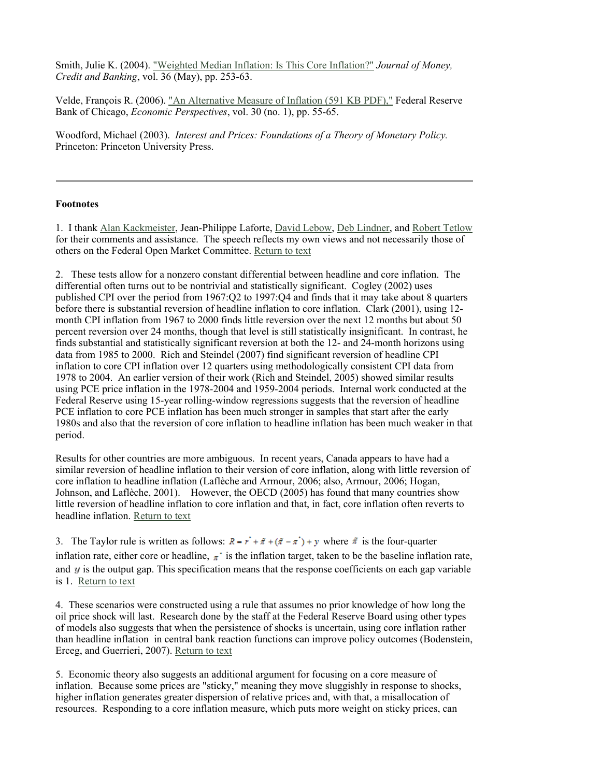Smith, Julie K. (2004). "Weighted Median Inflation: Is This Core Inflation?" *Journal of Money, Credit and Banking*, vol. 36 (May), pp. 253-63.

Velde, François R. (2006). "An Alternative Measure of Inflation (591 KB PDF)," Federal Reserve Bank of Chicago, *Economic Perspectives*, vol. 30 (no. 1), pp. 55-65.

Woodford, Michael (2003). *Interest and Prices: Foundations of a Theory of Monetary Policy.* Princeton: Princeton University Press.

#### **Footnotes**

1. I thank Alan Kackmeister, Jean-Philippe Laforte, David Lebow, Deb Lindner, and Robert Tetlow for their comments and assistance. The speech reflects my own views and not necessarily those of others on the Federal Open Market Committee. Return to text

2. These tests allow for a nonzero constant differential between headline and core inflation. The differential often turns out to be nontrivial and statistically significant. Cogley (2002) uses published CPI over the period from 1967:Q2 to 1997:Q4 and finds that it may take about 8 quarters before there is substantial reversion of headline inflation to core inflation. Clark (2001), using 12 month CPI inflation from 1967 to 2000 finds little reversion over the next 12 months but about 50 percent reversion over 24 months, though that level is still statistically insignificant. In contrast, he finds substantial and statistically significant reversion at both the 12- and 24-month horizons using data from 1985 to 2000. Rich and Steindel (2007) find significant reversion of headline CPI inflation to core CPI inflation over 12 quarters using methodologically consistent CPI data from 1978 to 2004. An earlier version of their work (Rich and Steindel, 2005) showed similar results using PCE price inflation in the 1978-2004 and 1959-2004 periods. Internal work conducted at the Federal Reserve using 15-year rolling-window regressions suggests that the reversion of headline PCE inflation to core PCE inflation has been much stronger in samples that start after the early 1980s and also that the reversion of core inflation to headline inflation has been much weaker in that period.

Results for other countries are more ambiguous. In recent years, Canada appears to have had a similar reversion of headline inflation to their version of core inflation, along with little reversion of core inflation to headline inflation (Laflèche and Armour, 2006; also, Armour, 2006; Hogan, Johnson, and Laflèche, 2001). However, the OECD (2005) has found that many countries show little reversion of headline inflation to core inflation and that, in fact, core inflation often reverts to headline inflation. Return to text

3. The Taylor rule is written as follows:  $R = r^* + \tilde{\pi} + (\tilde{\pi} - \pi^*) + v$  where  $\tilde{\pi}$  is the four-quarter inflation rate, either core or headline,  $\pi^*$  is the inflation target, taken to be the baseline inflation rate, and  $\boldsymbol{y}$  is the output gap. This specification means that the response coefficients on each gap variable is 1. Return to text

4. These scenarios were constructed using a rule that assumes no prior knowledge of how long the oil price shock will last. Research done by the staff at the Federal Reserve Board using other types of models also suggests that when the persistence of shocks is uncertain, using core inflation rather than headline inflation in central bank reaction functions can improve policy outcomes (Bodenstein, Erceg, and Guerrieri, 2007). Return to text

5. Economic theory also suggests an additional argument for focusing on a core measure of inflation. Because some prices are "sticky," meaning they move sluggishly in response to shocks, higher inflation generates greater dispersion of relative prices and, with that, a misallocation of resources. Responding to a core inflation measure, which puts more weight on sticky prices, can